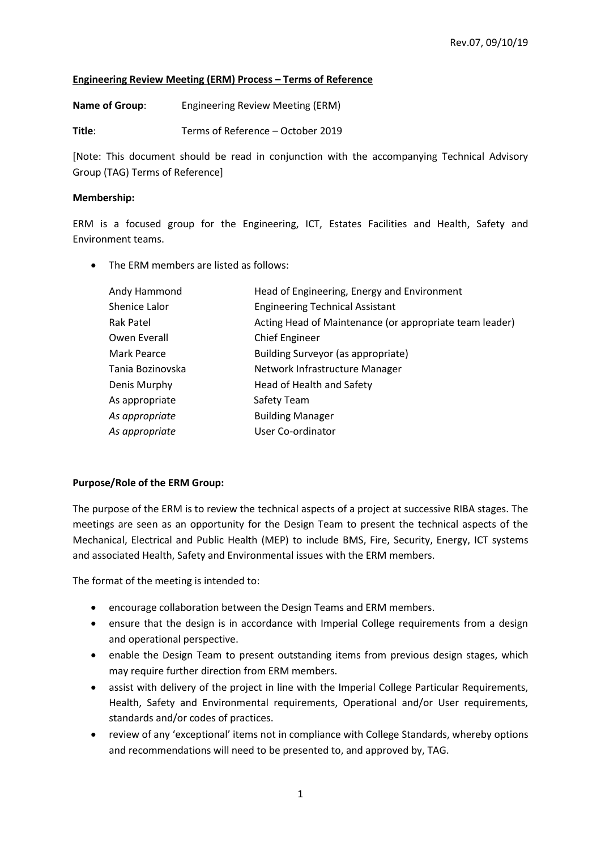## **Engineering Review Meeting (ERM) Process – Terms of Reference**

**Name of Group**: Engineering Review Meeting (ERM)

**Title**: Terms of Reference – October 2019

[Note: This document should be read in conjunction with the accompanying Technical Advisory Group (TAG) Terms of Reference]

## **Membership:**

ERM is a focused group for the Engineering, ICT, Estates Facilities and Health, Safety and Environment teams.

• The ERM members are listed as follows:

| Andy Hammond     | Head of Engineering, Energy and Environment             |
|------------------|---------------------------------------------------------|
| Shenice Lalor    | <b>Engineering Technical Assistant</b>                  |
| Rak Patel        | Acting Head of Maintenance (or appropriate team leader) |
| Owen Everall     | <b>Chief Engineer</b>                                   |
| Mark Pearce      | Building Surveyor (as appropriate)                      |
| Tania Bozinovska | Network Infrastructure Manager                          |
| Denis Murphy     | Head of Health and Safety                               |
| As appropriate   | Safety Team                                             |
| As appropriate   | <b>Building Manager</b>                                 |
| As appropriate   | User Co-ordinator                                       |

# **Purpose/Role of the ERM Group:**

The purpose of the ERM is to review the technical aspects of a project at successive RIBA stages. The meetings are seen as an opportunity for the Design Team to present the technical aspects of the Mechanical, Electrical and Public Health (MEP) to include BMS, Fire, Security, Energy, ICT systems and associated Health, Safety and Environmental issues with the ERM members.

The format of the meeting is intended to:

- encourage collaboration between the Design Teams and ERM members.
- ensure that the design is in accordance with Imperial College requirements from a design and operational perspective.
- enable the Design Team to present outstanding items from previous design stages, which may require further direction from ERM members.
- assist with delivery of the project in line with the Imperial College Particular Requirements, Health, Safety and Environmental requirements, Operational and/or User requirements, standards and/or codes of practices.
- review of any 'exceptional' items not in compliance with College Standards, whereby options and recommendations will need to be presented to, and approved by, TAG.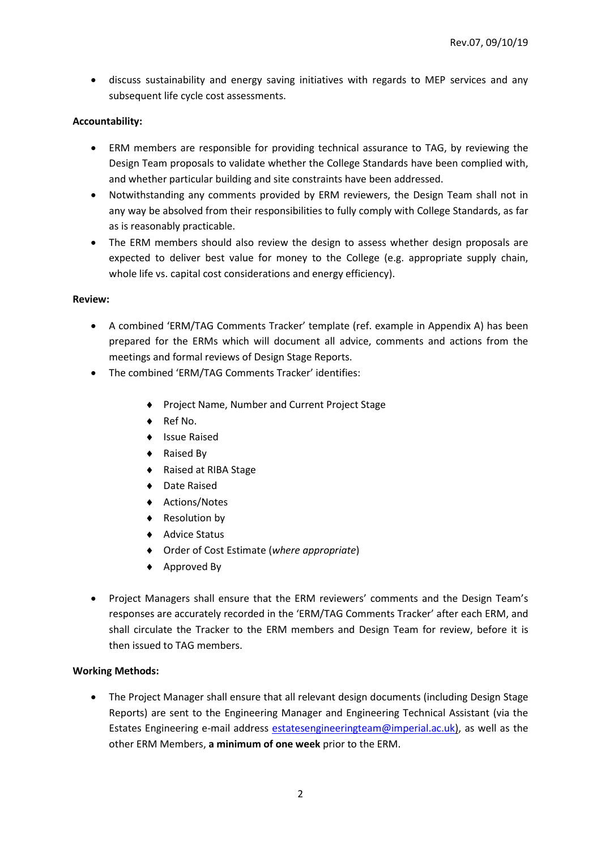• discuss sustainability and energy saving initiatives with regards to MEP services and any subsequent life cycle cost assessments.

# **Accountability:**

- ERM members are responsible for providing technical assurance to TAG, by reviewing the Design Team proposals to validate whether the College Standards have been complied with, and whether particular building and site constraints have been addressed.
- Notwithstanding any comments provided by ERM reviewers, the Design Team shall not in any way be absolved from their responsibilities to fully comply with College Standards, as far as is reasonably practicable.
- The ERM members should also review the design to assess whether design proposals are expected to deliver best value for money to the College (e.g. appropriate supply chain, whole life vs. capital cost considerations and energy efficiency).

### **Review:**

- A combined 'ERM/TAG Comments Tracker' template (ref. example in Appendix A) has been prepared for the ERMs which will document all advice, comments and actions from the meetings and formal reviews of Design Stage Reports.
- The combined 'ERM/TAG Comments Tracker' identifies:
	- ◆ Project Name, Number and Current Project Stage
	- ◆ Ref No.
	- ◆ Issue Raised
	- ◆ Raised By
	- ◆ Raised at RIBA Stage
	- ◆ Date Raised
	- ◆ Actions/Notes
	- ◆ Resolution by
	- ◆ Advice Status
	- Order of Cost Estimate (*where appropriate*)
	- ◆ Approved By
- Project Managers shall ensure that the ERM reviewers' comments and the Design Team's responses are accurately recorded in the 'ERM/TAG Comments Tracker' after each ERM, and shall circulate the Tracker to the ERM members and Design Team for review, before it is then issued to TAG members.

### **Working Methods:**

• The Project Manager shall ensure that all relevant design documents (including Design Stage Reports) are sent to the Engineering Manager and Engineering Technical Assistant (via the Estates Engineering e-mail address [estatesengineeringteam@imperial.ac.uk\)](mailto:estatesengineeringteam@imperial.ac.uk), as well as the other ERM Members, **a minimum of one week** prior to the ERM.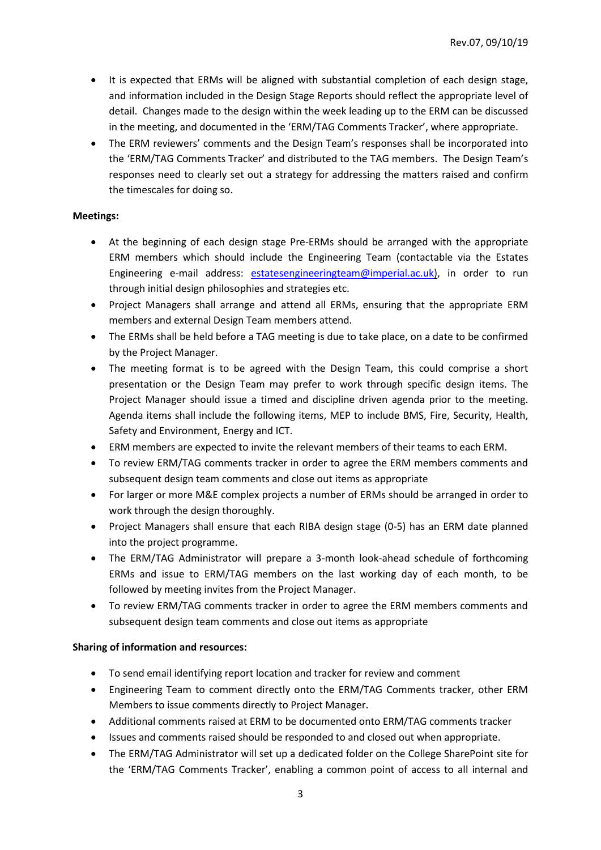- It is expected that ERMs will be aligned with substantial completion of each design stage, and information included in the Design Stage Reports should reflect the appropriate level of detail. Changes made to the design within the week leading up to the ERM can be discussed in the meeting, and documented in the 'ERM/TAG Comments Tracker', where appropriate.
- The ERM reviewers' comments and the Design Team's responses shall be incorporated into the 'ERM/TAG Comments Tracker' and distributed to the TAG members. The Design Team's responses need to clearly set out a strategy for addressing the matters raised and confirm the timescales for doing so.

## **Meetings:**

- At the beginning of each design stage Pre-ERMs should be arranged with the appropriate ERM members which should include the Engineering Team (contactable via the Estates Engineering e-mail address: [estatesengineeringteam@imperial.ac.uk\)](mailto:estatesengineeringteam@imperial.ac.uk), in order to run through initial design philosophies and strategies etc.
- Project Managers shall arrange and attend all ERMs, ensuring that the appropriate ERM members and external Design Team members attend.
- The ERMs shall be held before a TAG meeting is due to take place, on a date to be confirmed by the Project Manager.
- The meeting format is to be agreed with the Design Team, this could comprise a short presentation or the Design Team may prefer to work through specific design items. The Project Manager should issue a timed and discipline driven agenda prior to the meeting. Agenda items shall include the following items, MEP to include BMS, Fire, Security, Health, Safety and Environment, Energy and ICT.
- ERM members are expected to invite the relevant members of their teams to each ERM.
- To review ERM/TAG comments tracker in order to agree the ERM members comments and subsequent design team comments and close out items as appropriate
- For larger or more M&E complex projects a number of ERMs should be arranged in order to work through the design thoroughly.
- Project Managers shall ensure that each RIBA design stage (0-5) has an ERM date planned into the project programme.
- The ERM/TAG Administrator will prepare a 3-month look-ahead schedule of forthcoming ERMs and issue to ERM/TAG members on the last working day of each month, to be followed by meeting invites from the Project Manager.
- To review ERM/TAG comments tracker in order to agree the ERM members comments and subsequent design team comments and close out items as appropriate

# **Sharing of information and resources:**

- To send email identifying report location and tracker for review and comment
- Engineering Team to comment directly onto the ERM/TAG Comments tracker, other ERM Members to issue comments directly to Project Manager.
- Additional comments raised at ERM to be documented onto ERM/TAG comments tracker
- Issues and comments raised should be responded to and closed out when appropriate.
- The ERM/TAG Administrator will set up a dedicated folder on the College SharePoint site for the 'ERM/TAG Comments Tracker', enabling a common point of access to all internal and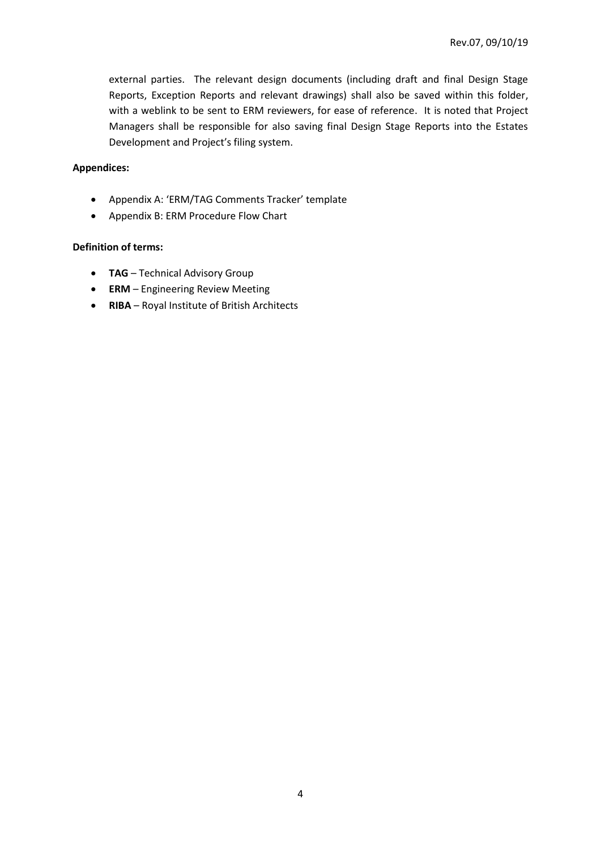external parties. The relevant design documents (including draft and final Design Stage Reports, Exception Reports and relevant drawings) shall also be saved within this folder, with a weblink to be sent to ERM reviewers, for ease of reference. It is noted that Project Managers shall be responsible for also saving final Design Stage Reports into the Estates Development and Project's filing system.

# **Appendices:**

- Appendix A: 'ERM/TAG Comments Tracker' template
- Appendix B: ERM Procedure Flow Chart

### **Definition of terms:**

- **TAG** Technical Advisory Group
- **ERM** Engineering Review Meeting
- **RIBA** Royal Institute of British Architects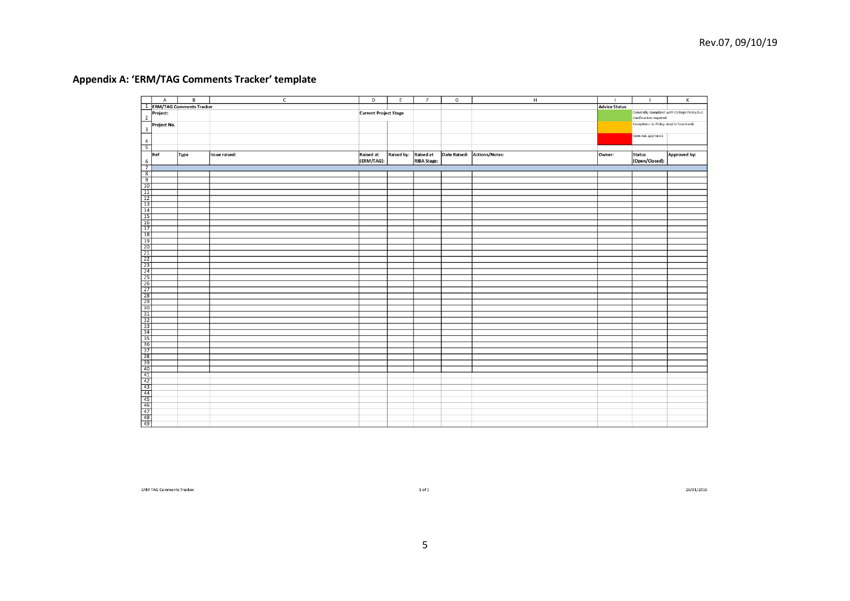# **Appendix A: 'ERM/TAG Comments Tracker' template**

|                         | $\mathsf{A}$ | $\overline{\mathsf{B}}$               | $\overline{C}$ | $\mathsf D$ | E                            | F                  | G | н                           | $\mathbf{I}$                                | $\mathbf{J}$                          | К            |
|-------------------------|--------------|---------------------------------------|----------------|-------------|------------------------------|--------------------|---|-----------------------------|---------------------------------------------|---------------------------------------|--------------|
|                         |              | <sup>1</sup> ERM/TAG Comments Tracker |                |             |                              |                    |   |                             | <b>Advice Status</b>                        |                                       |              |
|                         | Project:     |                                       |                |             | <b>Current Project Stage</b> |                    |   |                             | Generally compliant with College Policy but |                                       |              |
| $\overline{2}$          |              |                                       |                |             |                              |                    |   |                             |                                             | clarification required                |              |
|                         | Project No.  |                                       |                |             |                              |                    |   |                             |                                             | Exceptions to Policy and/or Standards |              |
| $\overline{\mathbf{3}}$ |              |                                       |                |             |                              |                    |   |                             |                                             |                                       |              |
|                         |              |                                       |                |             |                              |                    |   |                             |                                             | Item not approved                     |              |
| $\frac{4}{5}$           |              |                                       |                |             |                              |                    |   |                             |                                             |                                       |              |
|                         |              |                                       |                |             |                              |                    |   |                             |                                             |                                       |              |
|                         | Ref          | Type                                  | Issue raised:  | Raised at   | Raised by: Raised at         |                    |   | Date Raised: Actions/Notes: | Owner:                                      | <b>Status</b>                         | Approved by: |
|                         |              |                                       |                | (ERM/TAG):  |                              | <b>RIBA</b> Stage: |   |                             |                                             | (Open/Closed):                        |              |
|                         |              |                                       |                |             |                              |                    |   |                             |                                             |                                       |              |
|                         |              |                                       |                |             |                              |                    |   |                             |                                             |                                       |              |
|                         |              |                                       |                |             |                              |                    |   |                             |                                             |                                       |              |
|                         |              |                                       |                |             |                              |                    |   |                             |                                             |                                       |              |
|                         |              |                                       |                |             |                              |                    |   |                             |                                             |                                       |              |
|                         |              |                                       |                |             |                              |                    |   |                             |                                             |                                       |              |
|                         |              |                                       |                |             |                              |                    |   |                             |                                             |                                       |              |
|                         |              |                                       |                |             |                              |                    |   |                             |                                             |                                       |              |
|                         |              |                                       |                |             |                              |                    |   |                             |                                             |                                       |              |
|                         |              |                                       |                |             |                              |                    |   |                             |                                             |                                       |              |
|                         |              |                                       |                |             |                              |                    |   |                             |                                             |                                       |              |
|                         |              |                                       |                |             |                              |                    |   |                             |                                             |                                       |              |
|                         |              |                                       |                |             |                              |                    |   |                             |                                             |                                       |              |
|                         |              |                                       |                |             |                              |                    |   |                             |                                             |                                       |              |
|                         |              |                                       |                |             |                              |                    |   |                             |                                             |                                       |              |
|                         |              |                                       |                |             |                              |                    |   |                             |                                             |                                       |              |
|                         |              |                                       |                |             |                              |                    |   |                             |                                             |                                       |              |
|                         |              |                                       |                |             |                              |                    |   |                             |                                             |                                       |              |
|                         |              |                                       |                |             |                              |                    |   |                             |                                             |                                       |              |
|                         |              |                                       |                |             |                              |                    |   |                             |                                             |                                       |              |
|                         |              |                                       |                |             |                              |                    |   |                             |                                             |                                       |              |
|                         |              |                                       |                |             |                              |                    |   |                             |                                             |                                       |              |
|                         |              |                                       |                |             |                              |                    |   |                             |                                             |                                       |              |
|                         |              |                                       |                |             |                              |                    |   |                             |                                             |                                       |              |
|                         |              |                                       |                |             |                              |                    |   |                             |                                             |                                       |              |
|                         |              |                                       |                |             |                              |                    |   |                             |                                             |                                       |              |
|                         |              |                                       |                |             |                              |                    |   |                             |                                             |                                       |              |
|                         |              |                                       |                |             |                              |                    |   |                             |                                             |                                       |              |
|                         |              |                                       |                |             |                              |                    |   |                             |                                             |                                       |              |
|                         |              |                                       |                |             |                              |                    |   |                             |                                             |                                       |              |
|                         |              |                                       |                |             |                              |                    |   |                             |                                             |                                       |              |
|                         |              |                                       |                |             |                              |                    |   |                             |                                             |                                       |              |
|                         |              |                                       |                |             |                              |                    |   |                             |                                             |                                       |              |
|                         |              |                                       |                |             |                              |                    |   |                             |                                             |                                       |              |
|                         |              |                                       |                |             |                              |                    |   |                             |                                             |                                       |              |
|                         |              |                                       |                |             |                              |                    |   |                             |                                             |                                       |              |
|                         |              |                                       |                |             |                              |                    |   |                             |                                             |                                       |              |
|                         |              |                                       |                |             |                              |                    |   |                             |                                             |                                       |              |
|                         |              |                                       |                |             |                              |                    |   |                             |                                             |                                       |              |
|                         |              |                                       |                |             |                              |                    |   |                             |                                             |                                       |              |
|                         |              |                                       |                |             |                              |                    |   |                             |                                             |                                       |              |
|                         |              |                                       |                |             |                              |                    |   |                             |                                             |                                       |              |
|                         |              |                                       |                |             |                              |                    |   |                             |                                             |                                       |              |

ERM TAG Comments Tracker

 $1$  of  $1\,$ 

26/01/2016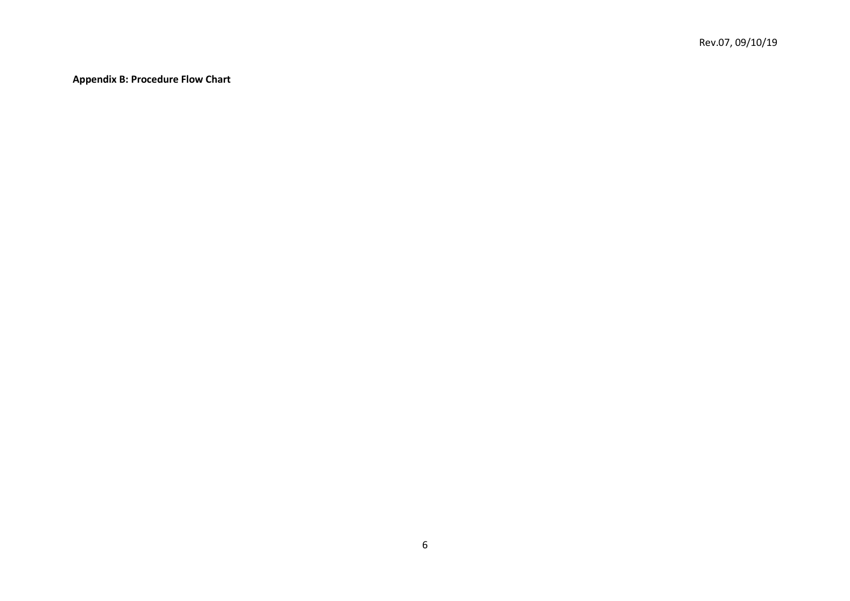**Appendix B: Procedure Flow Chart**